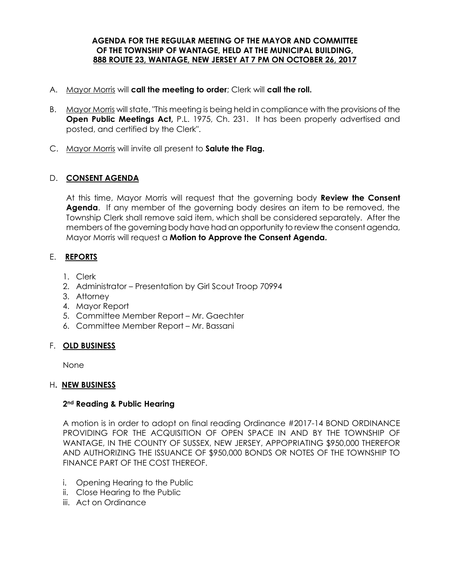#### **AGENDA FOR THE REGULAR MEETING OF THE MAYOR AND COMMITTEE OF THE TOWNSHIP OF WANTAGE, HELD AT THE MUNICIPAL BUILDING, 888 ROUTE 23, WANTAGE, NEW JERSEY AT 7 PM ON OCTOBER 26, 2017**

- A. Mayor Morris will **call the meeting to order**; Clerk will **call the roll.**
- B. Mayor Morris will state, "This meeting is being held in compliance with the provisions of the **Open Public Meetings Act,** P.L. 1975, Ch. 231. It has been properly advertised and posted, and certified by the Clerk".
- C. Mayor Morris will invite all present to **Salute the Flag.**

## D. **CONSENT AGENDA**

At this time, Mayor Morris will request that the governing body **Review the Consent Agenda**. If any member of the governing body desires an item to be removed, the Township Clerk shall remove said item, which shall be considered separately. After the members of the governing body have had an opportunity to review the consent agenda, Mayor Morris will request a **Motion to Approve the Consent Agenda.** 

# E. **REPORTS**

- 1. Clerk
- 2. Administrator Presentation by Girl Scout Troop 70994
- 3. Attorney
- 4. Mayor Report
- 5. Committee Member Report Mr. Gaechter
- 6. Committee Member Report Mr. Bassani

## F. **OLD BUSINESS**

None

## H**. NEW BUSINESS**

## **2nd Reading & Public Hearing**

A motion is in order to adopt on final reading Ordinance #2017-14 BOND ORDINANCE PROVIDING FOR THE ACQUISITION OF OPEN SPACE IN AND BY THE TOWNSHIP OF WANTAGE, IN THE COUNTY OF SUSSEX, NEW JERSEY, APPOPRIATING \$950,000 THEREFOR AND AUTHORIZING THE ISSUANCE OF \$950,000 BONDS OR NOTES OF THE TOWNSHIP TO FINANCE PART OF THE COST THEREOF.

- i. Opening Hearing to the Public
- ii. Close Hearing to the Public
- iii. Act on Ordinance